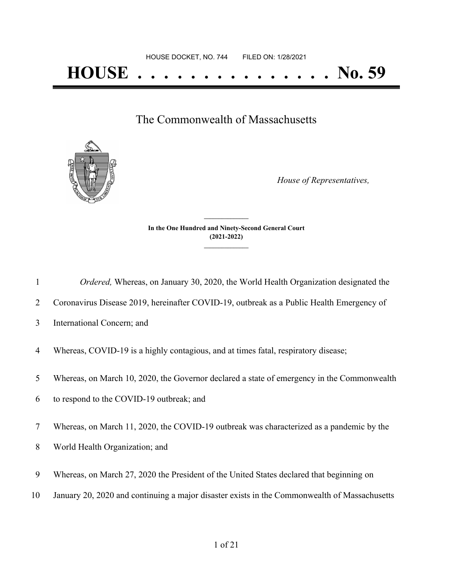The Commonwealth of Massachusetts



*House of Representatives,*

**In the One Hundred and Ninety-Second General Court (2021-2022) \_\_\_\_\_\_\_\_\_\_\_\_\_\_\_**

**\_\_\_\_\_\_\_\_\_\_\_\_\_\_\_**

| Ordered, Whereas, on January 30, 2020, the World Health Organization designated the |  |
|-------------------------------------------------------------------------------------|--|

2 Coronavirus Disease 2019, hereinafter COVID-19, outbreak as a Public Health Emergency of

3 International Concern; and

- 4 Whereas, COVID-19 is a highly contagious, and at times fatal, respiratory disease;
- 5 Whereas, on March 10, 2020, the Governor declared a state of emergency in the Commonwealth
- 6 to respond to the COVID-19 outbreak; and
- 7 Whereas, on March 11, 2020, the COVID-19 outbreak was characterized as a pandemic by the
- 8 World Health Organization; and
- 9 Whereas, on March 27, 2020 the President of the United States declared that beginning on
- 10 January 20, 2020 and continuing a major disaster exists in the Commonwealth of Massachusetts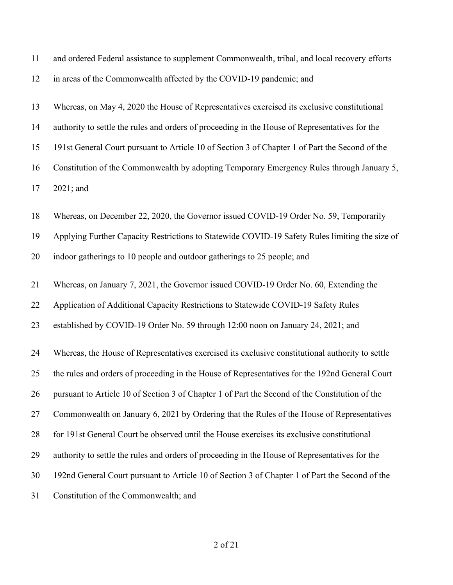| 11 | and ordered Federal assistance to supplement Commonwealth, tribal, and local recovery efforts    |
|----|--------------------------------------------------------------------------------------------------|
| 12 | in areas of the Commonwealth affected by the COVID-19 pandemic; and                              |
| 13 | Whereas, on May 4, 2020 the House of Representatives exercised its exclusive constitutional      |
| 14 | authority to settle the rules and orders of proceeding in the House of Representatives for the   |
| 15 | 191st General Court pursuant to Article 10 of Section 3 of Chapter 1 of Part the Second of the   |
| 16 | Constitution of the Commonwealth by adopting Temporary Emergency Rules through January 5,        |
| 17 | 2021; and                                                                                        |
| 18 | Whereas, on December 22, 2020, the Governor issued COVID-19 Order No. 59, Temporarily            |
| 19 | Applying Further Capacity Restrictions to Statewide COVID-19 Safety Rules limiting the size of   |
| 20 | indoor gatherings to 10 people and outdoor gatherings to 25 people; and                          |
| 21 | Whereas, on January 7, 2021, the Governor issued COVID-19 Order No. 60, Extending the            |
| 22 | Application of Additional Capacity Restrictions to Statewide COVID-19 Safety Rules               |
| 23 | established by COVID-19 Order No. 59 through 12:00 noon on January 24, 2021; and                 |
| 24 | Whereas, the House of Representatives exercised its exclusive constitutional authority to settle |
| 25 | the rules and orders of proceeding in the House of Representatives for the 192nd General Court   |
| 26 | pursuant to Article 10 of Section 3 of Chapter 1 of Part the Second of the Constitution of the   |
| 27 | Commonwealth on January 6, 2021 by Ordering that the Rules of the House of Representatives       |
| 28 | for 191st General Court be observed until the House exercises its exclusive constitutional       |
| 29 | authority to settle the rules and orders of proceeding in the House of Representatives for the   |
| 30 | 192nd General Court pursuant to Article 10 of Section 3 of Chapter 1 of Part the Second of the   |
| 31 | Constitution of the Commonwealth; and                                                            |
|    |                                                                                                  |

## of 21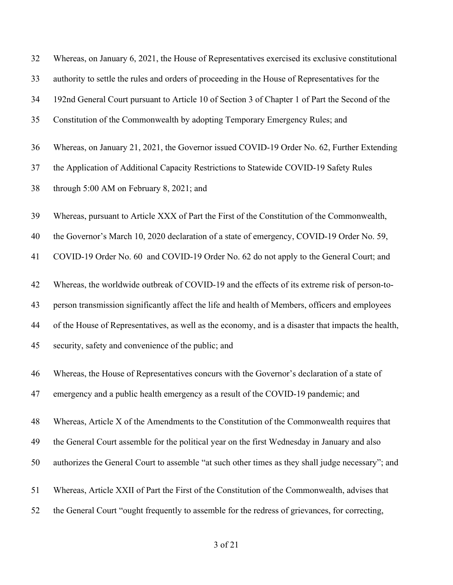| 32 | Whereas, on January 6, 2021, the House of Representatives exercised its exclusive constitutional    |
|----|-----------------------------------------------------------------------------------------------------|
| 33 | authority to settle the rules and orders of proceeding in the House of Representatives for the      |
| 34 | 192nd General Court pursuant to Article 10 of Section 3 of Chapter 1 of Part the Second of the      |
| 35 | Constitution of the Commonwealth by adopting Temporary Emergency Rules; and                         |
| 36 | Whereas, on January 21, 2021, the Governor issued COVID-19 Order No. 62, Further Extending          |
| 37 | the Application of Additional Capacity Restrictions to Statewide COVID-19 Safety Rules              |
| 38 | through 5:00 AM on February 8, 2021; and                                                            |
| 39 | Whereas, pursuant to Article XXX of Part the First of the Constitution of the Commonwealth,         |
| 40 | the Governor's March 10, 2020 declaration of a state of emergency, COVID-19 Order No. 59,           |
| 41 | COVID-19 Order No. 60 and COVID-19 Order No. 62 do not apply to the General Court; and              |
| 42 | Whereas, the worldwide outbreak of COVID-19 and the effects of its extreme risk of person-to-       |
| 43 | person transmission significantly affect the life and health of Members, officers and employees     |
| 44 | of the House of Representatives, as well as the economy, and is a disaster that impacts the health, |
| 45 | security, safety and convenience of the public; and                                                 |
| 46 | Whereas, the House of Representatives concurs with the Governor's declaration of a state of         |
| 47 | emergency and a public health emergency as a result of the COVID-19 pandemic; and                   |
| 48 | Whereas, Article X of the Amendments to the Constitution of the Commonwealth requires that          |
| 49 | the General Court assemble for the political year on the first Wednesday in January and also        |
| 50 | authorizes the General Court to assemble "at such other times as they shall judge necessary"; and   |
| 51 | Whereas, Article XXII of Part the First of the Constitution of the Commonwealth, advises that       |
| 52 | the General Court "ought frequently to assemble for the redress of grievances, for correcting,      |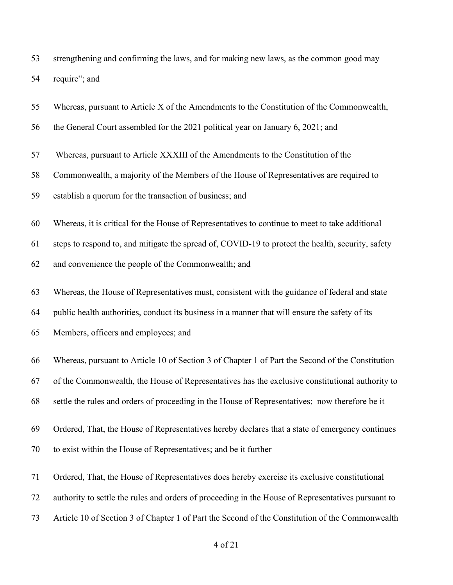| 53 | strengthening and confirming the laws, and for making new laws, as the common good may |
|----|----------------------------------------------------------------------------------------|
|    | 54 require"; and                                                                       |

| 55 | Whereas, pursuant to Article X of the Amendments to the Constitution of the Commonwealth,          |
|----|----------------------------------------------------------------------------------------------------|
| 56 | the General Court assembled for the 2021 political year on January 6, 2021; and                    |
| 57 | Whereas, pursuant to Article XXXIII of the Amendments to the Constitution of the                   |
| 58 | Commonwealth, a majority of the Members of the House of Representatives are required to            |
| 59 | establish a quorum for the transaction of business; and                                            |
| 60 | Whereas, it is critical for the House of Representatives to continue to meet to take additional    |
| 61 | steps to respond to, and mitigate the spread of, COVID-19 to protect the health, security, safety  |
| 62 | and convenience the people of the Commonwealth; and                                                |
| 63 | Whereas, the House of Representatives must, consistent with the guidance of federal and state      |
| 64 | public health authorities, conduct its business in a manner that will ensure the safety of its     |
| 65 | Members, officers and employees; and                                                               |
| 66 | Whereas, pursuant to Article 10 of Section 3 of Chapter 1 of Part the Second of the Constitution   |
| 67 | of the Commonwealth, the House of Representatives has the exclusive constitutional authority to    |
| 68 | settle the rules and orders of proceeding in the House of Representatives; now therefore be it     |
| 69 | Ordered, That, the House of Representatives hereby declares that a state of emergency continues    |
| 70 | to exist within the House of Representatives; and be it further                                    |
| 71 | Ordered, That, the House of Representatives does hereby exercise its exclusive constitutional      |
| 72 | authority to settle the rules and orders of proceeding in the House of Representatives pursuant to |

Article 10 of Section 3 of Chapter 1 of Part the Second of the Constitution of the Commonwealth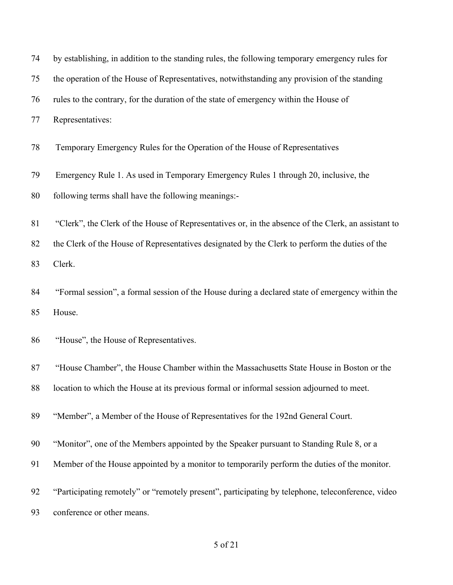| 74 | by establishing, in addition to the standing rules, the following temporary emergency rules for     |
|----|-----------------------------------------------------------------------------------------------------|
| 75 | the operation of the House of Representatives, notwithstanding any provision of the standing        |
| 76 | rules to the contrary, for the duration of the state of emergency within the House of               |
| 77 | Representatives:                                                                                    |
| 78 | Temporary Emergency Rules for the Operation of the House of Representatives                         |
| 79 | Emergency Rule 1. As used in Temporary Emergency Rules 1 through 20, inclusive, the                 |
| 80 | following terms shall have the following meanings:-                                                 |
| 81 | "Clerk", the Clerk of the House of Representatives or, in the absence of the Clerk, an assistant to |
| 82 | the Clerk of the House of Representatives designated by the Clerk to perform the duties of the      |
| 83 | Clerk.                                                                                              |
| 84 | "Formal session", a formal session of the House during a declared state of emergency within the     |
| 85 | House.                                                                                              |
| 86 | "House", the House of Representatives.                                                              |
| 87 | "House Chamber", the House Chamber within the Massachusetts State House in Boston or the            |
| 88 | location to which the House at its previous formal or informal session adjourned to meet.           |
| 89 | "Member", a Member of the House of Representatives for the 192nd General Court.                     |
| 90 | "Monitor", one of the Members appointed by the Speaker pursuant to Standing Rule 8, or a            |
| 91 | Member of the House appointed by a monitor to temporarily perform the duties of the monitor.        |
| 92 | "Participating remotely" or "remotely present", participating by telephone, teleconference, video   |
| 93 | conference or other means.                                                                          |

## of 21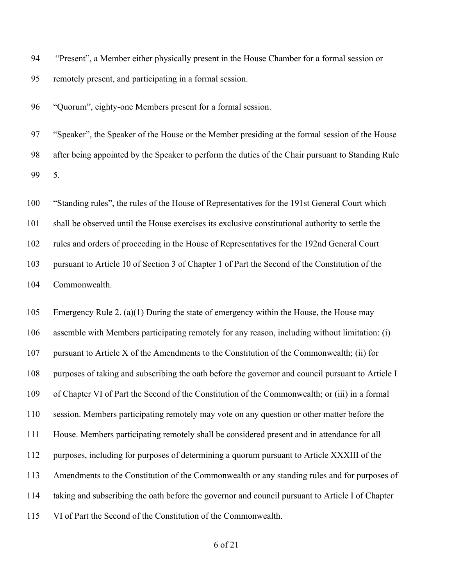"Present", a Member either physically present in the House Chamber for a formal session or remotely present, and participating in a formal session.

"Quorum", eighty-one Members present for a formal session.

 "Speaker", the Speaker of the House or the Member presiding at the formal session of the House after being appointed by the Speaker to perform the duties of the Chair pursuant to Standing Rule 5.

 "Standing rules", the rules of the House of Representatives for the 191st General Court which shall be observed until the House exercises its exclusive constitutional authority to settle the rules and orders of proceeding in the House of Representatives for the 192nd General Court pursuant to Article 10 of Section 3 of Chapter 1 of Part the Second of the Constitution of the Commonwealth.

 Emergency Rule 2. (a)(1) During the state of emergency within the House, the House may assemble with Members participating remotely for any reason, including without limitation: (i) pursuant to Article X of the Amendments to the Constitution of the Commonwealth; (ii) for purposes of taking and subscribing the oath before the governor and council pursuant to Article I of Chapter VI of Part the Second of the Constitution of the Commonwealth; or (iii) in a formal session. Members participating remotely may vote on any question or other matter before the House. Members participating remotely shall be considered present and in attendance for all purposes, including for purposes of determining a quorum pursuant to Article XXXIII of the Amendments to the Constitution of the Commonwealth or any standing rules and for purposes of taking and subscribing the oath before the governor and council pursuant to Article I of Chapter VI of Part the Second of the Constitution of the Commonwealth.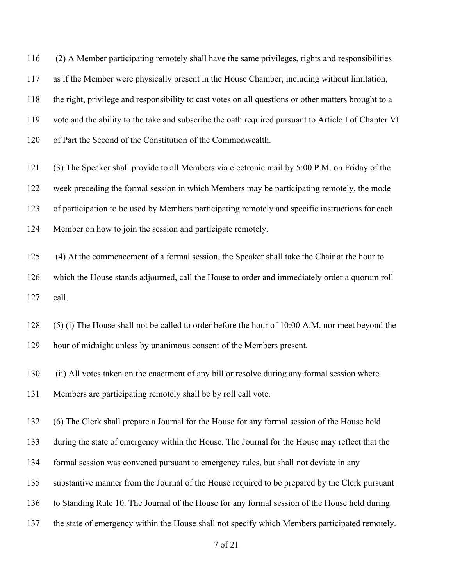(2) A Member participating remotely shall have the same privileges, rights and responsibilities as if the Member were physically present in the House Chamber, including without limitation, the right, privilege and responsibility to cast votes on all questions or other matters brought to a vote and the ability to the take and subscribe the oath required pursuant to Article I of Chapter VI of Part the Second of the Constitution of the Commonwealth.

 (3) The Speaker shall provide to all Members via electronic mail by 5:00 P.M. on Friday of the week preceding the formal session in which Members may be participating remotely, the mode of participation to be used by Members participating remotely and specific instructions for each Member on how to join the session and participate remotely.

 (4) At the commencement of a formal session, the Speaker shall take the Chair at the hour to which the House stands adjourned, call the House to order and immediately order a quorum roll call.

 (5) (i) The House shall not be called to order before the hour of 10:00 A.M. nor meet beyond the hour of midnight unless by unanimous consent of the Members present.

 (ii) All votes taken on the enactment of any bill or resolve during any formal session where Members are participating remotely shall be by roll call vote.

 (6) The Clerk shall prepare a Journal for the House for any formal session of the House held during the state of emergency within the House. The Journal for the House may reflect that the formal session was convened pursuant to emergency rules, but shall not deviate in any substantive manner from the Journal of the House required to be prepared by the Clerk pursuant to Standing Rule 10. The Journal of the House for any formal session of the House held during the state of emergency within the House shall not specify which Members participated remotely.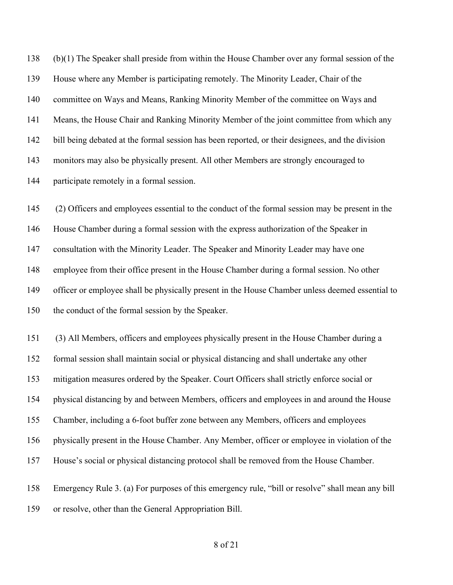(b)(1) The Speaker shall preside from within the House Chamber over any formal session of the House where any Member is participating remotely. The Minority Leader, Chair of the committee on Ways and Means, Ranking Minority Member of the committee on Ways and Means, the House Chair and Ranking Minority Member of the joint committee from which any bill being debated at the formal session has been reported, or their designees, and the division monitors may also be physically present. All other Members are strongly encouraged to participate remotely in a formal session.

 (2) Officers and employees essential to the conduct of the formal session may be present in the House Chamber during a formal session with the express authorization of the Speaker in consultation with the Minority Leader. The Speaker and Minority Leader may have one employee from their office present in the House Chamber during a formal session. No other officer or employee shall be physically present in the House Chamber unless deemed essential to the conduct of the formal session by the Speaker.

 (3) All Members, officers and employees physically present in the House Chamber during a formal session shall maintain social or physical distancing and shall undertake any other mitigation measures ordered by the Speaker. Court Officers shall strictly enforce social or physical distancing by and between Members, officers and employees in and around the House Chamber, including a 6-foot buffer zone between any Members, officers and employees physically present in the House Chamber. Any Member, officer or employee in violation of the House's social or physical distancing protocol shall be removed from the House Chamber.

 Emergency Rule 3. (a) For purposes of this emergency rule, "bill or resolve" shall mean any bill or resolve, other than the General Appropriation Bill.

## of 21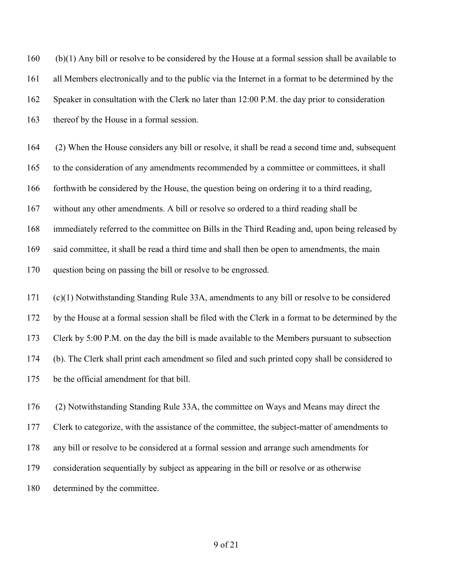(b)(1) Any bill or resolve to be considered by the House at a formal session shall be available to all Members electronically and to the public via the Internet in a format to be determined by the Speaker in consultation with the Clerk no later than 12:00 P.M. the day prior to consideration thereof by the House in a formal session.

 (2) When the House considers any bill or resolve, it shall be read a second time and, subsequent to the consideration of any amendments recommended by a committee or committees, it shall forthwith be considered by the House, the question being on ordering it to a third reading, without any other amendments. A bill or resolve so ordered to a third reading shall be immediately referred to the committee on Bills in the Third Reading and, upon being released by said committee, it shall be read a third time and shall then be open to amendments, the main question being on passing the bill or resolve to be engrossed.

 (c)(1) Notwithstanding Standing Rule 33A, amendments to any bill or resolve to be considered by the House at a formal session shall be filed with the Clerk in a format to be determined by the Clerk by 5:00 P.M. on the day the bill is made available to the Members pursuant to subsection (b). The Clerk shall print each amendment so filed and such printed copy shall be considered to be the official amendment for that bill.

 (2) Notwithstanding Standing Rule 33A, the committee on Ways and Means may direct the Clerk to categorize, with the assistance of the committee, the subject-matter of amendments to any bill or resolve to be considered at a formal session and arrange such amendments for consideration sequentially by subject as appearing in the bill or resolve or as otherwise determined by the committee.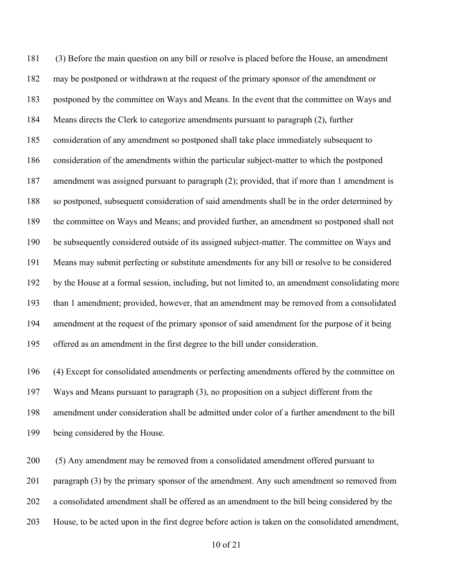(3) Before the main question on any bill or resolve is placed before the House, an amendment may be postponed or withdrawn at the request of the primary sponsor of the amendment or postponed by the committee on Ways and Means. In the event that the committee on Ways and Means directs the Clerk to categorize amendments pursuant to paragraph (2), further consideration of any amendment so postponed shall take place immediately subsequent to consideration of the amendments within the particular subject-matter to which the postponed amendment was assigned pursuant to paragraph (2); provided, that if more than 1 amendment is so postponed, subsequent consideration of said amendments shall be in the order determined by the committee on Ways and Means; and provided further, an amendment so postponed shall not be subsequently considered outside of its assigned subject-matter. The committee on Ways and Means may submit perfecting or substitute amendments for any bill or resolve to be considered by the House at a formal session, including, but not limited to, an amendment consolidating more than 1 amendment; provided, however, that an amendment may be removed from a consolidated amendment at the request of the primary sponsor of said amendment for the purpose of it being offered as an amendment in the first degree to the bill under consideration.

 (4) Except for consolidated amendments or perfecting amendments offered by the committee on Ways and Means pursuant to paragraph (3), no proposition on a subject different from the amendment under consideration shall be admitted under color of a further amendment to the bill being considered by the House.

200 (5) Any amendment may be removed from a consolidated amendment offered pursuant to 201 paragraph (3) by the primary sponsor of the amendment. Any such amendment so removed from a consolidated amendment shall be offered as an amendment to the bill being considered by the House, to be acted upon in the first degree before action is taken on the consolidated amendment,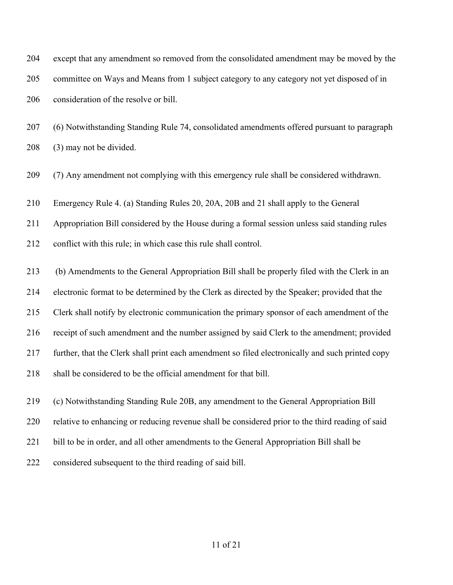except that any amendment so removed from the consolidated amendment may be moved by the committee on Ways and Means from 1 subject category to any category not yet disposed of in consideration of the resolve or bill.

 (6) Notwithstanding Standing Rule 74, consolidated amendments offered pursuant to paragraph (3) may not be divided.

(7) Any amendment not complying with this emergency rule shall be considered withdrawn.

Emergency Rule 4. (a) Standing Rules 20, 20A, 20B and 21 shall apply to the General

Appropriation Bill considered by the House during a formal session unless said standing rules

conflict with this rule; in which case this rule shall control.

 (b) Amendments to the General Appropriation Bill shall be properly filed with the Clerk in an electronic format to be determined by the Clerk as directed by the Speaker; provided that the Clerk shall notify by electronic communication the primary sponsor of each amendment of the receipt of such amendment and the number assigned by said Clerk to the amendment; provided further, that the Clerk shall print each amendment so filed electronically and such printed copy 218 shall be considered to be the official amendment for that bill.

(c) Notwithstanding Standing Rule 20B, any amendment to the General Appropriation Bill

relative to enhancing or reducing revenue shall be considered prior to the third reading of said

221 bill to be in order, and all other amendments to the General Appropriation Bill shall be

considered subsequent to the third reading of said bill.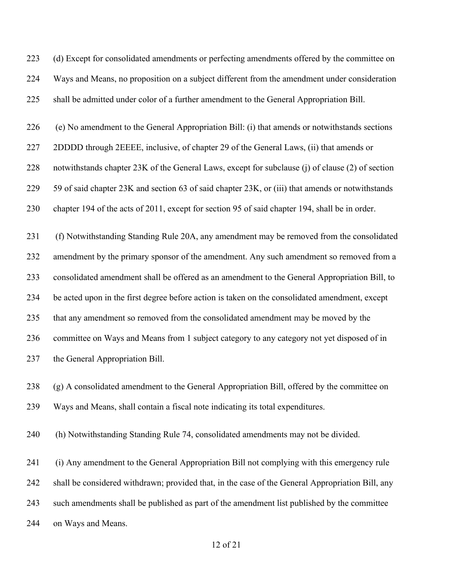223 (d) Except for consolidated amendments or perfecting amendments offered by the committee on Ways and Means, no proposition on a subject different from the amendment under consideration shall be admitted under color of a further amendment to the General Appropriation Bill.

(e) No amendment to the General Appropriation Bill: (i) that amends or notwithstands sections

227 2DDDD through 2EEEE, inclusive, of chapter 29 of the General Laws, (ii) that amends or

notwithstands chapter 23K of the General Laws, except for subclause (j) of clause (2) of section

59 of said chapter 23K and section 63 of said chapter 23K, or (iii) that amends or notwithstands

chapter 194 of the acts of 2011, except for section 95 of said chapter 194, shall be in order.

 (f) Notwithstanding Standing Rule 20A, any amendment may be removed from the consolidated amendment by the primary sponsor of the amendment. Any such amendment so removed from a consolidated amendment shall be offered as an amendment to the General Appropriation Bill, to be acted upon in the first degree before action is taken on the consolidated amendment, except that any amendment so removed from the consolidated amendment may be moved by the committee on Ways and Means from 1 subject category to any category not yet disposed of in the General Appropriation Bill.

 (g) A consolidated amendment to the General Appropriation Bill, offered by the committee on Ways and Means, shall contain a fiscal note indicating its total expenditures.

(h) Notwithstanding Standing Rule 74, consolidated amendments may not be divided.

 (i) Any amendment to the General Appropriation Bill not complying with this emergency rule shall be considered withdrawn; provided that, in the case of the General Appropriation Bill, any such amendments shall be published as part of the amendment list published by the committee on Ways and Means.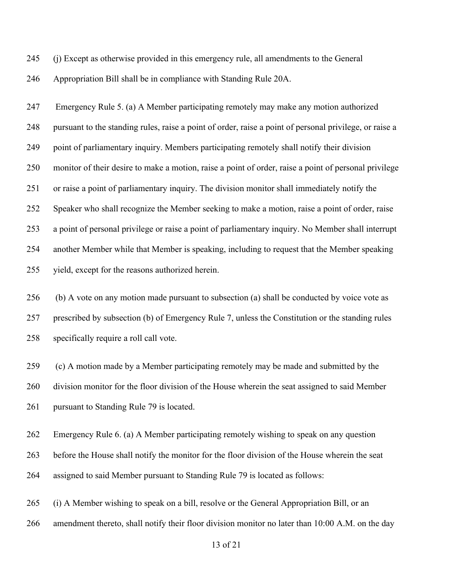(j) Except as otherwise provided in this emergency rule, all amendments to the General

Appropriation Bill shall be in compliance with Standing Rule 20A.

 Emergency Rule 5. (a) A Member participating remotely may make any motion authorized pursuant to the standing rules, raise a point of order, raise a point of personal privilege, or raise a point of parliamentary inquiry. Members participating remotely shall notify their division monitor of their desire to make a motion, raise a point of order, raise a point of personal privilege or raise a point of parliamentary inquiry. The division monitor shall immediately notify the Speaker who shall recognize the Member seeking to make a motion, raise a point of order, raise a point of personal privilege or raise a point of parliamentary inquiry. No Member shall interrupt another Member while that Member is speaking, including to request that the Member speaking yield, except for the reasons authorized herein.

 (b) A vote on any motion made pursuant to subsection (a) shall be conducted by voice vote as prescribed by subsection (b) of Emergency Rule 7, unless the Constitution or the standing rules specifically require a roll call vote.

 (c) A motion made by a Member participating remotely may be made and submitted by the division monitor for the floor division of the House wherein the seat assigned to said Member 261 pursuant to Standing Rule 79 is located.

 Emergency Rule 6. (a) A Member participating remotely wishing to speak on any question before the House shall notify the monitor for the floor division of the House wherein the seat assigned to said Member pursuant to Standing Rule 79 is located as follows:

 (i) A Member wishing to speak on a bill, resolve or the General Appropriation Bill, or an amendment thereto, shall notify their floor division monitor no later than 10:00 A.M. on the day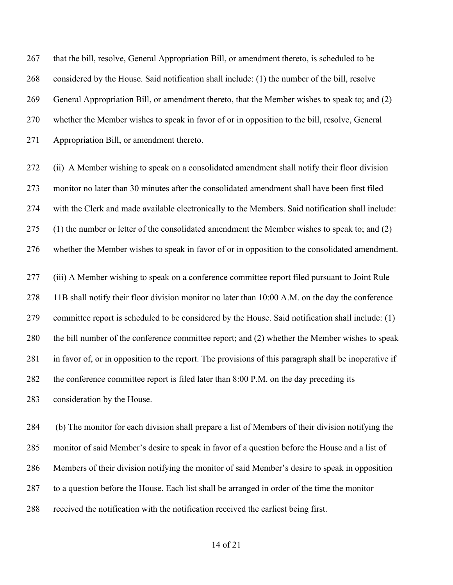that the bill, resolve, General Appropriation Bill, or amendment thereto, is scheduled to be considered by the House. Said notification shall include: (1) the number of the bill, resolve General Appropriation Bill, or amendment thereto, that the Member wishes to speak to; and (2) whether the Member wishes to speak in favor of or in opposition to the bill, resolve, General Appropriation Bill, or amendment thereto.

 (ii) A Member wishing to speak on a consolidated amendment shall notify their floor division monitor no later than 30 minutes after the consolidated amendment shall have been first filed with the Clerk and made available electronically to the Members. Said notification shall include: (1) the number or letter of the consolidated amendment the Member wishes to speak to; and (2) whether the Member wishes to speak in favor of or in opposition to the consolidated amendment.

 (iii) A Member wishing to speak on a conference committee report filed pursuant to Joint Rule 11B shall notify their floor division monitor no later than 10:00 A.M. on the day the conference committee report is scheduled to be considered by the House. Said notification shall include: (1) the bill number of the conference committee report; and (2) whether the Member wishes to speak in favor of, or in opposition to the report. The provisions of this paragraph shall be inoperative if the conference committee report is filed later than 8:00 P.M. on the day preceding its consideration by the House.

 (b) The monitor for each division shall prepare a list of Members of their division notifying the monitor of said Member's desire to speak in favor of a question before the House and a list of Members of their division notifying the monitor of said Member's desire to speak in opposition to a question before the House. Each list shall be arranged in order of the time the monitor received the notification with the notification received the earliest being first.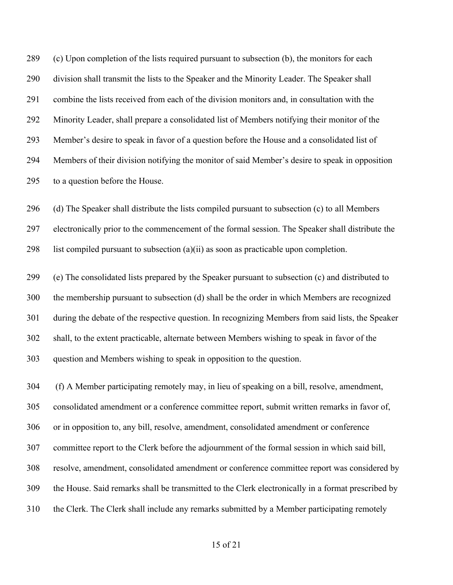(c) Upon completion of the lists required pursuant to subsection (b), the monitors for each division shall transmit the lists to the Speaker and the Minority Leader. The Speaker shall combine the lists received from each of the division monitors and, in consultation with the Minority Leader, shall prepare a consolidated list of Members notifying their monitor of the Member's desire to speak in favor of a question before the House and a consolidated list of Members of their division notifying the monitor of said Member's desire to speak in opposition to a question before the House.

 (d) The Speaker shall distribute the lists compiled pursuant to subsection (c) to all Members electronically prior to the commencement of the formal session. The Speaker shall distribute the 298 list compiled pursuant to subsection  $(a)(ii)$  as soon as practicable upon completion.

 (e) The consolidated lists prepared by the Speaker pursuant to subsection (c) and distributed to the membership pursuant to subsection (d) shall be the order in which Members are recognized during the debate of the respective question. In recognizing Members from said lists, the Speaker shall, to the extent practicable, alternate between Members wishing to speak in favor of the question and Members wishing to speak in opposition to the question.

 (f) A Member participating remotely may, in lieu of speaking on a bill, resolve, amendment, consolidated amendment or a conference committee report, submit written remarks in favor of, or in opposition to, any bill, resolve, amendment, consolidated amendment or conference committee report to the Clerk before the adjournment of the formal session in which said bill, resolve, amendment, consolidated amendment or conference committee report was considered by the House. Said remarks shall be transmitted to the Clerk electronically in a format prescribed by the Clerk. The Clerk shall include any remarks submitted by a Member participating remotely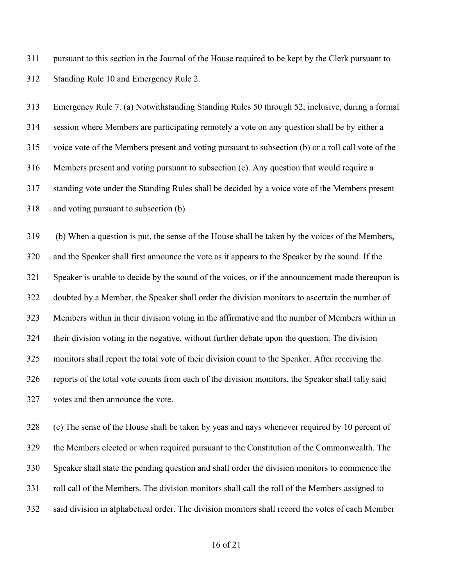pursuant to this section in the Journal of the House required to be kept by the Clerk pursuant to Standing Rule 10 and Emergency Rule 2.

 Emergency Rule 7. (a) Notwithstanding Standing Rules 50 through 52, inclusive, during a formal session where Members are participating remotely a vote on any question shall be by either a voice vote of the Members present and voting pursuant to subsection (b) or a roll call vote of the Members present and voting pursuant to subsection (c). Any question that would require a standing vote under the Standing Rules shall be decided by a voice vote of the Members present and voting pursuant to subsection (b).

 (b) When a question is put, the sense of the House shall be taken by the voices of the Members, and the Speaker shall first announce the vote as it appears to the Speaker by the sound. If the Speaker is unable to decide by the sound of the voices, or if the announcement made thereupon is doubted by a Member, the Speaker shall order the division monitors to ascertain the number of Members within in their division voting in the affirmative and the number of Members within in their division voting in the negative, without further debate upon the question. The division monitors shall report the total vote of their division count to the Speaker. After receiving the reports of the total vote counts from each of the division monitors, the Speaker shall tally said votes and then announce the vote.

 (c) The sense of the House shall be taken by yeas and nays whenever required by 10 percent of the Members elected or when required pursuant to the Constitution of the Commonwealth. The Speaker shall state the pending question and shall order the division monitors to commence the roll call of the Members. The division monitors shall call the roll of the Members assigned to said division in alphabetical order. The division monitors shall record the votes of each Member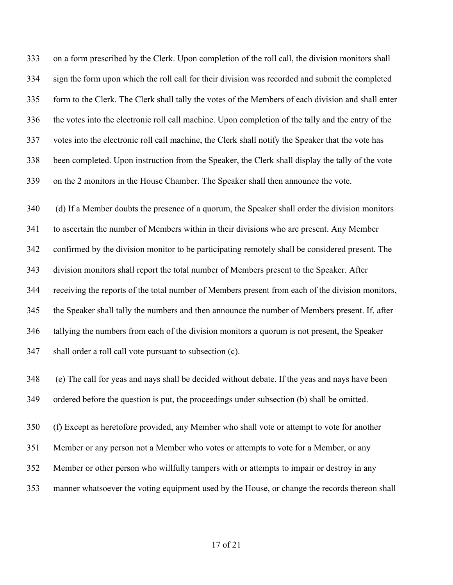on a form prescribed by the Clerk. Upon completion of the roll call, the division monitors shall sign the form upon which the roll call for their division was recorded and submit the completed form to the Clerk. The Clerk shall tally the votes of the Members of each division and shall enter the votes into the electronic roll call machine. Upon completion of the tally and the entry of the votes into the electronic roll call machine, the Clerk shall notify the Speaker that the vote has been completed. Upon instruction from the Speaker, the Clerk shall display the tally of the vote on the 2 monitors in the House Chamber. The Speaker shall then announce the vote.

 (d) If a Member doubts the presence of a quorum, the Speaker shall order the division monitors to ascertain the number of Members within in their divisions who are present. Any Member confirmed by the division monitor to be participating remotely shall be considered present. The division monitors shall report the total number of Members present to the Speaker. After receiving the reports of the total number of Members present from each of the division monitors, the Speaker shall tally the numbers and then announce the number of Members present. If, after tallying the numbers from each of the division monitors a quorum is not present, the Speaker shall order a roll call vote pursuant to subsection (c).

 (e) The call for yeas and nays shall be decided without debate. If the yeas and nays have been ordered before the question is put, the proceedings under subsection (b) shall be omitted.

 (f) Except as heretofore provided, any Member who shall vote or attempt to vote for another Member or any person not a Member who votes or attempts to vote for a Member, or any Member or other person who willfully tampers with or attempts to impair or destroy in any manner whatsoever the voting equipment used by the House, or change the records thereon shall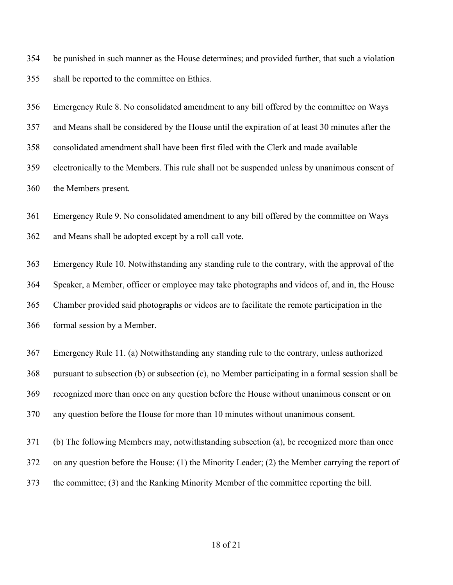be punished in such manner as the House determines; and provided further, that such a violation shall be reported to the committee on Ethics.

Emergency Rule 8. No consolidated amendment to any bill offered by the committee on Ways

and Means shall be considered by the House until the expiration of at least 30 minutes after the

consolidated amendment shall have been first filed with the Clerk and made available

 electronically to the Members. This rule shall not be suspended unless by unanimous consent of the Members present.

Emergency Rule 9. No consolidated amendment to any bill offered by the committee on Ways

and Means shall be adopted except by a roll call vote.

 Emergency Rule 10. Notwithstanding any standing rule to the contrary, with the approval of the Speaker, a Member, officer or employee may take photographs and videos of, and in, the House Chamber provided said photographs or videos are to facilitate the remote participation in the formal session by a Member.

 Emergency Rule 11. (a) Notwithstanding any standing rule to the contrary, unless authorized pursuant to subsection (b) or subsection (c), no Member participating in a formal session shall be recognized more than once on any question before the House without unanimous consent or on any question before the House for more than 10 minutes without unanimous consent.

(b) The following Members may, notwithstanding subsection (a), be recognized more than once

on any question before the House: (1) the Minority Leader; (2) the Member carrying the report of

the committee; (3) and the Ranking Minority Member of the committee reporting the bill.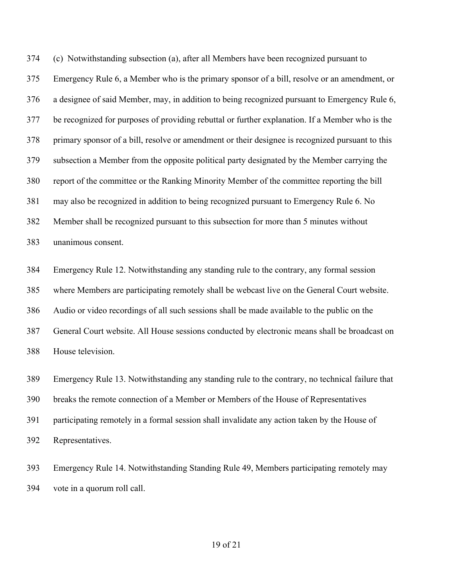(c) Notwithstanding subsection (a), after all Members have been recognized pursuant to Emergency Rule 6, a Member who is the primary sponsor of a bill, resolve or an amendment, or a designee of said Member, may, in addition to being recognized pursuant to Emergency Rule 6, be recognized for purposes of providing rebuttal or further explanation. If a Member who is the primary sponsor of a bill, resolve or amendment or their designee is recognized pursuant to this subsection a Member from the opposite political party designated by the Member carrying the report of the committee or the Ranking Minority Member of the committee reporting the bill may also be recognized in addition to being recognized pursuant to Emergency Rule 6. No Member shall be recognized pursuant to this subsection for more than 5 minutes without unanimous consent.

 Emergency Rule 12. Notwithstanding any standing rule to the contrary, any formal session where Members are participating remotely shall be webcast live on the General Court website. Audio or video recordings of all such sessions shall be made available to the public on the General Court website. All House sessions conducted by electronic means shall be broadcast on House television.

 Emergency Rule 13. Notwithstanding any standing rule to the contrary, no technical failure that breaks the remote connection of a Member or Members of the House of Representatives participating remotely in a formal session shall invalidate any action taken by the House of Representatives.

 Emergency Rule 14. Notwithstanding Standing Rule 49, Members participating remotely may vote in a quorum roll call.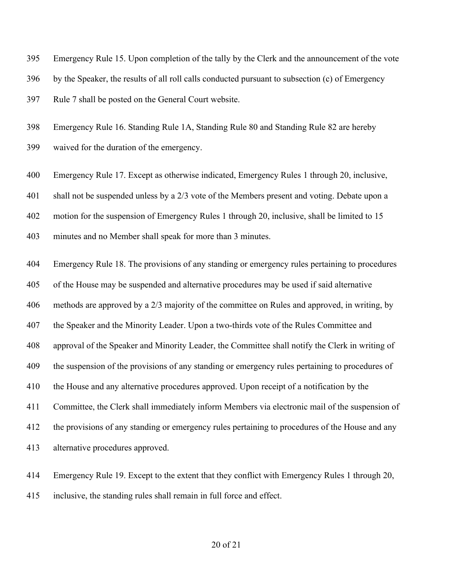Emergency Rule 15. Upon completion of the tally by the Clerk and the announcement of the vote

by the Speaker, the results of all roll calls conducted pursuant to subsection (c) of Emergency

Rule 7 shall be posted on the General Court website.

Emergency Rule 16. Standing Rule 1A, Standing Rule 80 and Standing Rule 82 are hereby

waived for the duration of the emergency.

Emergency Rule 17. Except as otherwise indicated, Emergency Rules 1 through 20, inclusive,

shall not be suspended unless by a 2/3 vote of the Members present and voting. Debate upon a

motion for the suspension of Emergency Rules 1 through 20, inclusive, shall be limited to 15

minutes and no Member shall speak for more than 3 minutes.

 Emergency Rule 18. The provisions of any standing or emergency rules pertaining to procedures of the House may be suspended and alternative procedures may be used if said alternative methods are approved by a 2/3 majority of the committee on Rules and approved, in writing, by the Speaker and the Minority Leader. Upon a two-thirds vote of the Rules Committee and approval of the Speaker and Minority Leader, the Committee shall notify the Clerk in writing of 409 the suspension of the provisions of any standing or emergency rules pertaining to procedures of the House and any alternative procedures approved. Upon receipt of a notification by the Committee, the Clerk shall immediately inform Members via electronic mail of the suspension of 412 the provisions of any standing or emergency rules pertaining to procedures of the House and any alternative procedures approved.

 Emergency Rule 19. Except to the extent that they conflict with Emergency Rules 1 through 20, inclusive, the standing rules shall remain in full force and effect.